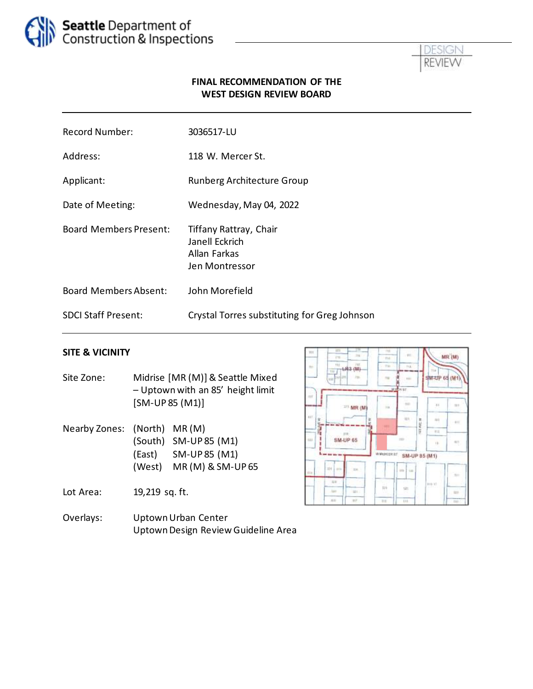



### **FINAL RECOMMENDATION OF THE WEST DESIGN REVIEW BOARD**

| <b>Record Number:</b>         | 3036517-LU                                                                 |
|-------------------------------|----------------------------------------------------------------------------|
| Address:                      | 118 W. Mercer St.                                                          |
| Applicant:                    | Runberg Architecture Group                                                 |
| Date of Meeting:              | Wednesday, May 04, 2022                                                    |
| <b>Board Members Present:</b> | Tiffany Rattray, Chair<br>Janell Eckrich<br>Allan Farkas<br>Jen Montressor |
| <b>Board Members Absent:</b>  | John Morefield                                                             |
| <b>SDCI Staff Present:</b>    | Crystal Torres substituting for Greg Johnson                               |

#### **SITE & VICINITY**

- Site Zone: Midrise [MR (M)] & Seattle Mixed – Uptown with an 85' height limit [SM-UP 85 (M1)]
- Nearby Zones: (North) MR (M) (South) SM-UP 85 (M1) (East) SM-UP 85 (M1) (West) MR (M) & SM-UP 65

Lot Area: 19,219 sq. ft.

Overlays: Uptown Urban Center Uptown Design Review Guideline Area

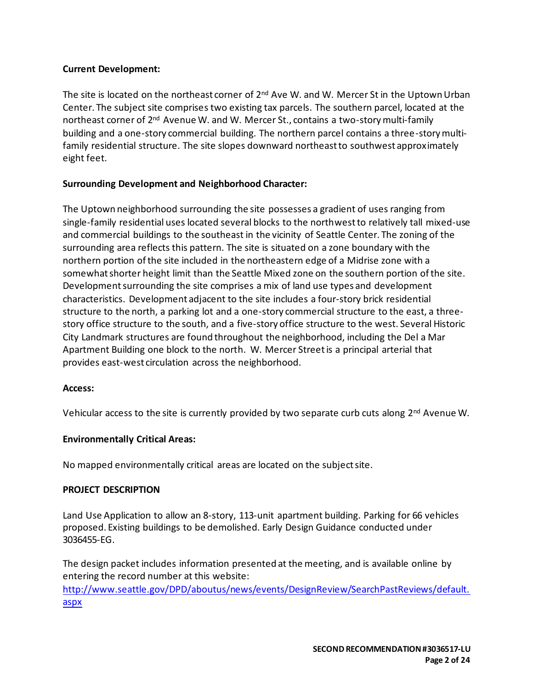### **Current Development:**

The site is located on the northeast corner of 2<sup>nd</sup> Ave W. and W. Mercer St in the Uptown Urban Center. The subject site comprises two existing tax parcels. The southern parcel, located at the northeast corner of 2<sup>nd</sup> Avenue W. and W. Mercer St., contains a two-story multi-family building and a one-story commercial building. The northern parcel contains a three-story multifamily residential structure. The site slopes downward northeast to southwest approximately eight feet.

## **Surrounding Development and Neighborhood Character:**

The Uptown neighborhood surrounding the site possesses a gradient of uses ranging from single-family residential uses located several blocks to the northwestto relatively tall mixed-use and commercial buildings to the southeast in the vicinity of Seattle Center. The zoning of the surrounding area reflects this pattern. The site is situated on a zone boundary with the northern portion of the site included in the northeastern edge of a Midrise zone with a somewhat shorter height limit than the Seattle Mixed zone on the southern portion of the site. Development surrounding the site comprises a mix of land use types and development characteristics. Development adjacent to the site includes a four-story brick residential structure to the north, a parking lot and a one-story commercial structure to the east, a threestory office structure to the south, and a five-story office structure to the west. Several Historic City Landmark structures are found throughout the neighborhood, including the Del a Mar Apartment Building one block to the north. W. Mercer Streetis a principal arterial that provides east-west circulation across the neighborhood.

#### **Access:**

Vehicular access to the site is currently provided by two separate curb cuts along  $2<sup>nd</sup>$  Avenue W.

#### **Environmentally Critical Areas:**

No mapped environmentally critical areas are located on the subject site.

#### **PROJECT DESCRIPTION**

Land Use Application to allow an 8-story, 113-unit apartment building. Parking for 66 vehicles proposed. Existing buildings to be demolished. Early Design Guidance conducted under 3036455-EG.

The design packet includes information presented at the meeting, and is available online by entering the record number at this website:

[http://www.seattle.gov/DPD/aboutus/news/events/DesignReview/SearchPastReviews/default.](http://www.seattle.gov/DPD/aboutus/news/events/DesignReview/SearchPastReviews/default.aspx) [aspx](http://www.seattle.gov/DPD/aboutus/news/events/DesignReview/SearchPastReviews/default.aspx)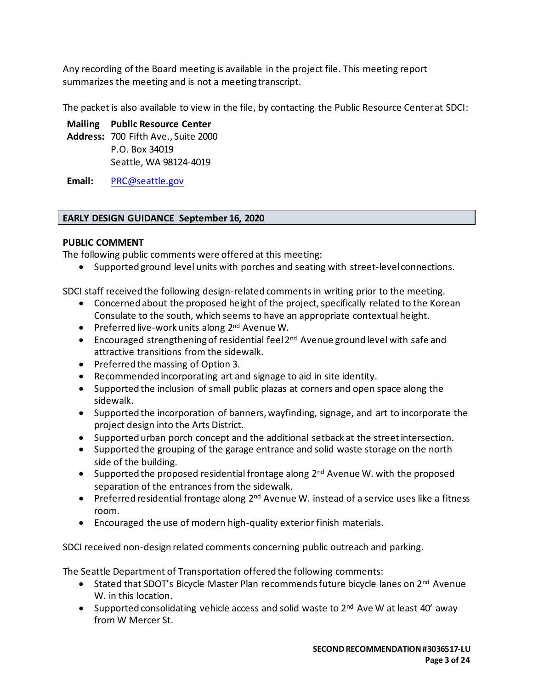Any recording of the Board meeting is available in the project file. This meeting report summarizes the meeting and is not a meeting transcript.

The packet is also available to view in the file, by contacting the Public Resource Center at SDCI:

# **Mailing Public Resource Center**

**Address:** 700 Fifth Ave., Suite 2000 P.O. Box 34019 Seattle, WA 98124-4019

**Email:** [PRC@seattle.gov](mailto:PRC@seattle.gov)

# **EARLY DESIGN GUIDANCE September 16, 2020**

# **PUBLIC COMMENT**

The following public comments were offered at this meeting:

• Supported ground level units with porches and seating with street-level connections.

SDCI staff received the following design-related comments in writing prior to the meeting.

- Concerned about the proposed height of the project, specifically related to the Korean Consulate to the south, which seems to have an appropriate contextual height.
- Preferred live-work units along 2<sup>nd</sup> Avenue W.
- Encouraged strengthening of residential feel 2<sup>nd</sup> Avenue ground level with safe and attractive transitions from the sidewalk.
- Preferred the massing of Option 3.
- Recommended incorporating art and signage to aid in site identity.
- Supported the inclusion of small public plazas at corners and open space along the sidewalk.
- Supported the incorporation of banners, wayfinding, signage, and art to incorporate the project design into the Arts District.
- Supported urban porch concept and the additional setback at the street intersection.
- Supported the grouping of the garage entrance and solid waste storage on the north side of the building.
- Supported the proposed residential frontage along 2<sup>nd</sup> Avenue W. with the proposed separation of the entrances from the sidewalk.
- Preferred residential frontage along  $2^{nd}$  Avenue W. instead of a service uses like a fitness room.
- Encouraged the use of modern high-quality exterior finish materials.

SDCI received non-design related comments concerning public outreach and parking.

The Seattle Department of Transportation offered the following comments:

- Stated that SDOT's Bicycle Master Plan recommends future bicycle lanes on 2<sup>nd</sup> Avenue W. in this location.
- Supported consolidating vehicle access and solid waste to  $2^{nd}$  Ave W at least 40' away from W Mercer St.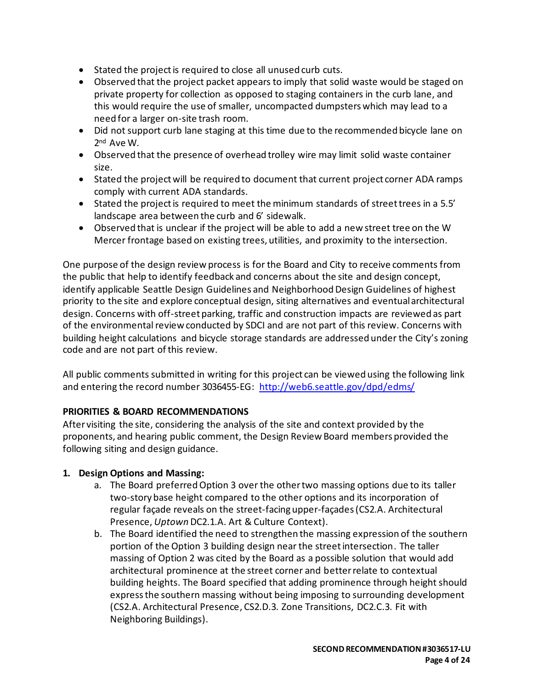- Stated the project is required to close all unused curb cuts.
- Observed that the project packet appears to imply that solid waste would be staged on private property for collection as opposed to staging containers in the curb lane, and this would require the use of smaller, uncompacted dumpsters which may lead to a need for a larger on-site trash room.
- Did not support curb lane staging at this time due to the recommended bicycle lane on 2 nd Ave W.
- Observed that the presence of overhead trolley wire may limit solid waste container size.
- Stated the project will be required to document that current project corner ADA ramps comply with current ADA standards.
- Stated the project is required to meet the minimum standards of street trees in a 5.5' landscape area between the curb and 6' sidewalk.
- Observed that is unclear if the project will be able to add a new street tree on the W Mercer frontage based on existing trees, utilities, and proximity to the intersection.

One purpose of the design review process is for the Board and City to receive comments from the public that help to identify feedback and concerns about the site and design concept, identify applicable Seattle Design Guidelines and Neighborhood Design Guidelines of highest priority to the site and explore conceptual design, siting alternatives and eventual architectural design. Concerns with off-street parking, traffic and construction impacts are reviewed as part of the environmental review conducted by SDCI and are not part of this review. Concerns with building height calculations and bicycle storage standards are addressed under the City's zoning code and are not part of this review.

All public comments submitted in writing for this project can be viewed using the following link and entering the record number 3036455-EG:<http://web6.seattle.gov/dpd/edms/>

## **PRIORITIES & BOARD RECOMMENDATIONS**

After visiting the site, considering the analysis of the site and context provided by the proponents, and hearing public comment, the Design Review Board members provided the following siting and design guidance.

## **1. Design Options and Massing:**

- a. The Board preferred Option 3 over the other two massing options due to its taller two-story base height compared to the other options and its incorporation of regular façade reveals on the street-facing upper-façades(CS2.A. Architectural Presence, *Uptown* DC2.1.A. Art & Culture Context).
- b. The Board identified the need to strengthen the massing expression of the southern portion of the Option 3 building design near the street intersection. The taller massing of Option 2 was cited by the Board as a possible solution that would add architectural prominence at the street corner and better relate to contextual building heights. The Board specified that adding prominence through height should express the southern massing without being imposing to surrounding development (CS2.A. Architectural Presence, CS2.D.3. Zone Transitions, DC2.C.3. Fit with Neighboring Buildings).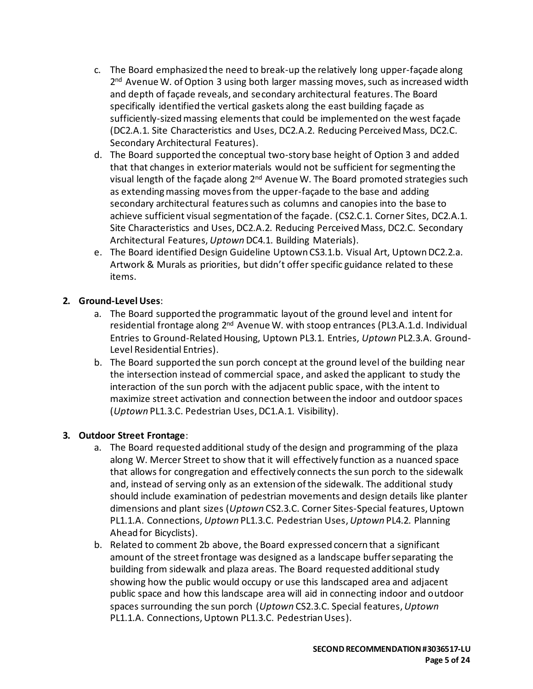- c. The Board emphasized the need to break-up the relatively long upper-façade along 2<sup>nd</sup> Avenue W. of Option 3 using both larger massing moves, such as increased width and depth of façade reveals, and secondary architectural features. The Board specifically identified the vertical gaskets along the east building façade as sufficiently-sized massing elements that could be implemented on the west façade (DC2.A.1. Site Characteristics and Uses, DC2.A.2. Reducing Perceived Mass, DC2.C. Secondary Architectural Features).
- d. The Board supported the conceptual two-story base height of Option 3 and added that that changes in exterior materials would not be sufficient for segmenting the visual length of the façade along 2<sup>nd</sup> Avenue W. The Board promoted strategies such as extending massing moves from the upper-façade to the base and adding secondary architectural features such as columns and canopies into the base to achieve sufficient visual segmentation of the façade. (CS2.C.1. Corner Sites, DC2.A.1. Site Characteristics and Uses, DC2.A.2. Reducing Perceived Mass, DC2.C. Secondary Architectural Features, *Uptown* DC4.1. Building Materials).
- e. The Board identified Design Guideline Uptown CS3.1.b. Visual Art, Uptown DC2.2.a. Artwork & Murals as priorities, but didn't offer specific guidance related to these items.

# **2. Ground-Level Uses**:

- a. The Board supported the programmatic layout of the ground level and intent for residential frontage along 2<sup>nd</sup> Avenue W. with stoop entrances (PL3.A.1.d. Individual Entries to Ground-Related Housing, Uptown PL3.1. Entries, *Uptown* PL2.3.A. Ground-Level Residential Entries).
- b. The Board supported the sun porch concept at the ground level of the building near the intersection instead of commercial space, and asked the applicant to study the interaction of the sun porch with the adjacent public space, with the intent to maximize street activation and connection between the indoor and outdoor spaces (*Uptown* PL1.3.C. Pedestrian Uses, DC1.A.1. Visibility).

## **3. Outdoor Street Frontage**:

- a. The Board requested additional study of the design and programming of the plaza along W. Mercer Street to show that it will effectively function as a nuanced space that allows for congregation and effectively connects the sun porch to the sidewalk and, instead of serving only as an extension of the sidewalk. The additional study should include examination of pedestrian movements and design details like planter dimensions and plant sizes (*Uptown* CS2.3.C. Corner Sites-Special features, Uptown PL1.1.A. Connections, *Uptown* PL1.3.C. Pedestrian Uses, *Uptown* PL4.2. Planning Ahead for Bicyclists).
- b. Related to comment 2b above, the Board expressed concern that a significant amount of the street frontage was designed as a landscape buffer separating the building from sidewalk and plaza areas. The Board requested additional study showing how the public would occupy or use this landscaped area and adjacent public space and how this landscape area will aid in connecting indoor and outdoor spaces surrounding the sun porch (*Uptown* CS2.3.C. Special features, *Uptown* PL1.1.A. Connections, Uptown PL1.3.C. Pedestrian Uses).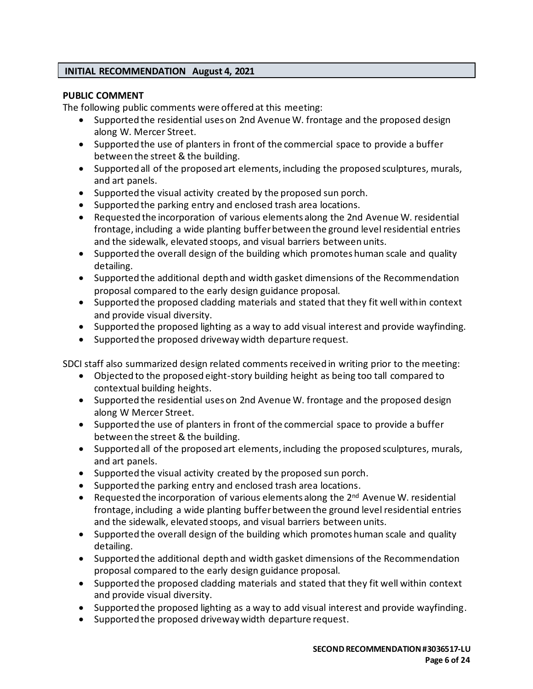### **INITIAL RECOMMENDATION August 4, 2021**

#### **PUBLIC COMMENT**

The following public comments were offered at this meeting:

- Supported the residential uses on 2nd Avenue W. frontage and the proposed design along W. Mercer Street.
- Supported the use of planters in front of the commercial space to provide a buffer between the street & the building.
- Supported all of the proposed art elements, including the proposed sculptures, murals, and art panels.
- Supported the visual activity created by the proposed sun porch.
- Supported the parking entry and enclosed trash area locations.
- Requested the incorporation of various elements along the 2nd Avenue W. residential frontage, including a wide planting buffer between the ground level residential entries and the sidewalk, elevated stoops, and visual barriers between units.
- Supported the overall design of the building which promotes human scale and quality detailing.
- Supported the additional depth and width gasket dimensions of the Recommendation proposal compared to the early design guidance proposal.
- Supported the proposed cladding materials and stated that they fit well within context and provide visual diversity.
- Supported the proposed lighting as a way to add visual interest and provide wayfinding.
- Supported the proposed driveway width departure request.

SDCI staff also summarized design related comments received in writing prior to the meeting:

- Objected to the proposed eight-story building height as being too tall compared to contextual building heights.
- Supported the residential uses on 2nd Avenue W. frontage and the proposed design along W Mercer Street.
- Supported the use of planters in front of the commercial space to provide a buffer between the street & the building.
- Supported all of the proposed art elements, including the proposed sculptures, murals, and art panels.
- Supported the visual activity created by the proposed sun porch.
- Supported the parking entry and enclosed trash area locations.
- Requested the incorporation of various elements along the 2<sup>nd</sup> Avenue W. residential frontage, including a wide planting buffer between the ground level residential entries and the sidewalk, elevated stoops, and visual barriers between units.
- Supported the overall design of the building which promotes human scale and quality detailing.
- Supported the additional depth and width gasket dimensions of the Recommendation proposal compared to the early design guidance proposal.
- Supported the proposed cladding materials and stated that they fit well within context and provide visual diversity.
- Supported the proposed lighting as a way to add visual interest and provide wayfinding.
- Supported the proposed driveway width departure request.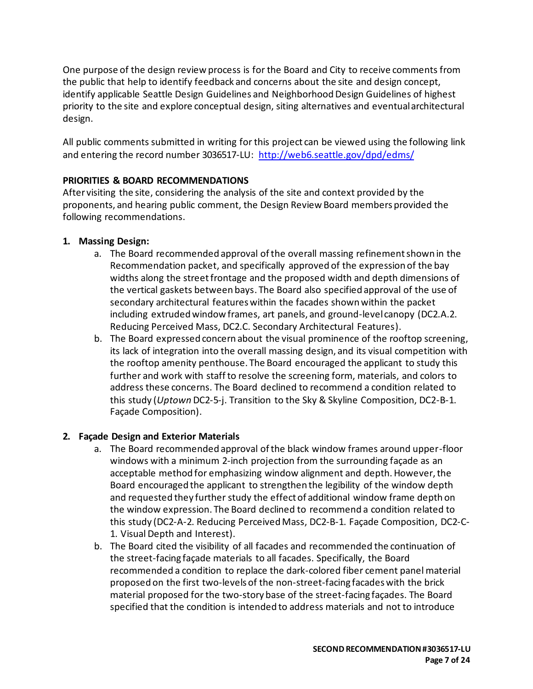One purpose of the design review process is for the Board and City to receive comments from the public that help to identify feedback and concerns about the site and design concept, identify applicable Seattle Design Guidelines and Neighborhood Design Guidelines of highest priority to the site and explore conceptual design, siting alternatives and eventual architectural design.

All public comments submitted in writing for this project can be viewed using the following link and entering the record number 3036517-LU: <http://web6.seattle.gov/dpd/edms/>

## **PRIORITIES & BOARD RECOMMENDATIONS**

After visiting the site, considering the analysis of the site and context provided by the proponents, and hearing public comment, the Design Review Board members provided the following recommendations.

# **1. Massing Design:**

- a. The Board recommended approval of the overall massing refinement shown in the Recommendation packet, and specifically approved of the expression of the bay widths along the street frontage and the proposed width and depth dimensions of the vertical gaskets between bays. The Board also specified approval of the use of secondary architectural features within the facades shown within the packet including extruded window frames, art panels, and ground-level canopy (DC2.A.2. Reducing Perceived Mass, DC2.C. Secondary Architectural Features).
- b. The Board expressed concern about the visual prominence of the rooftop screening, its lack of integration into the overall massing design, and its visual competition with the rooftop amenity penthouse. The Board encouraged the applicant to study this further and work with staffto resolve the screening form, materials, and colors to address these concerns. The Board declined to recommend a condition related to this study (*Uptown* DC2-5-j. Transition to the Sky & Skyline Composition, DC2-B-1. Façade Composition).

## **2. Façade Design and Exterior Materials**

- a. The Board recommended approval of the black window frames around upper-floor windows with a minimum 2-inch projection from the surrounding façade as an acceptable method for emphasizing window alignment and depth. However, the Board encouraged the applicant to strengthen the legibility of the window depth and requested they further study the effect of additional window frame depth on the window expression. The Board declined to recommend a condition related to this study (DC2-A-2. Reducing Perceived Mass, DC2-B-1. Façade Composition, DC2-C-1. Visual Depth and Interest).
- b. The Board cited the visibility of all facades and recommended the continuation of the street-facing façade materials to all facades. Specifically, the Board recommended a condition to replace the dark-colored fiber cement panel material proposed on the first two-levels of the non-street-facing facades with the brick material proposed for the two-story base of the street-facing façades. The Board specified that the condition is intended to address materials and not to introduce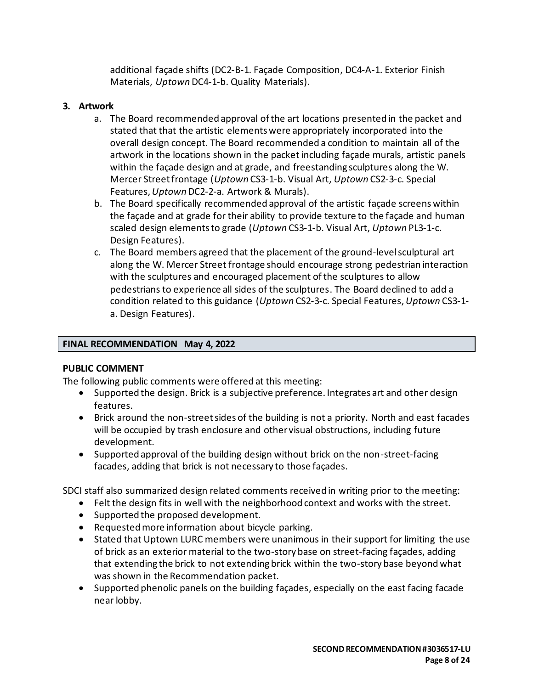additional façade shifts (DC2-B-1. Façade Composition, DC4-A-1. Exterior Finish Materials, *Uptown* DC4-1-b. Quality Materials).

### **3. Artwork**

- a. The Board recommended approval of the art locations presented in the packet and stated that that the artistic elements were appropriately incorporated into the overall design concept. The Board recommended a condition to maintain all of the artwork in the locations shown in the packet including façade murals, artistic panels within the façade design and at grade, and freestanding sculptures along the W. Mercer Street frontage (*Uptown* CS3-1-b. Visual Art, *Uptown* CS2-3-c. Special Features,*Uptown* DC2-2-a. Artwork & Murals).
- b. The Board specifically recommended approval of the artistic façade screens within the façade and at grade for their ability to provide texture to the façade and human scaled design elements to grade (*Uptown* CS3-1-b. Visual Art, *Uptown* PL3-1-c. Design Features).
- c. The Board members agreed that the placement of the ground-level sculptural art along the W. Mercer Street frontage should encourage strong pedestrian interaction with the sculptures and encouraged placement of the sculptures to allow pedestrians to experience all sides of the sculptures. The Board declined to add a condition related to this guidance (*Uptown* CS2-3-c. Special Features, *Uptown* CS3-1 a. Design Features).

### **FINAL RECOMMENDATION May 4, 2022**

#### **PUBLIC COMMENT**

The following public comments were offered at this meeting:

- Supported the design. Brick is a subjective preference. Integrates art and other design features.
- Brick around the non-street sides of the building is not a priority. North and east facades will be occupied by trash enclosure and other visual obstructions, including future development.
- Supported approval of the building design without brick on the non-street-facing facades, adding that brick is not necessary to those façades.

SDCI staff also summarized design related comments received in writing prior to the meeting:

- Felt the design fits in well with the neighborhood context and works with the street.
- Supported the proposed development.
- Requested more information about bicycle parking.
- Stated that Uptown LURC members were unanimous in their support for limiting the use of brick as an exterior material to the two-story base on street-facing façades, adding that extending the brick to not extending brick within the two-story base beyond what was shown in the Recommendation packet.
- Supported phenolic panels on the building façades, especially on the east facing facade near lobby.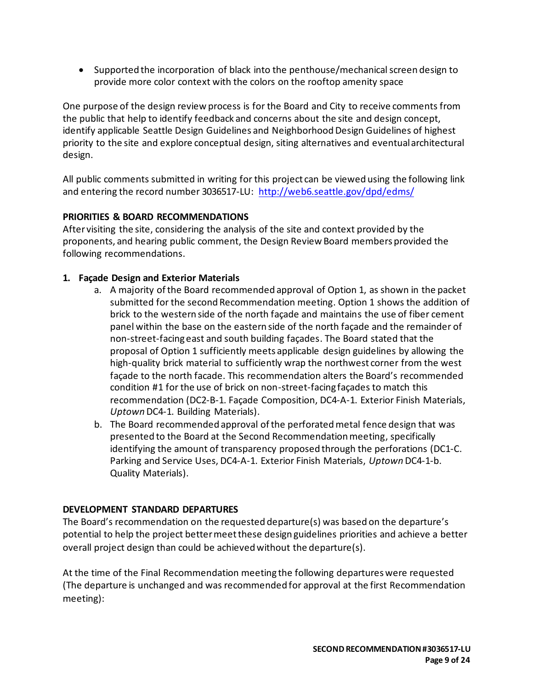• Supported the incorporation of black into the penthouse/mechanical screen design to provide more color context with the colors on the rooftop amenity space

One purpose of the design review process is for the Board and City to receive comments from the public that help to identify feedback and concerns about the site and design concept, identify applicable Seattle Design Guidelines and Neighborhood Design Guidelines of highest priority to the site and explore conceptual design, siting alternatives and eventual architectural design.

All public comments submitted in writing for this project can be viewed using the following link and entering the record number 3036517-LU: <http://web6.seattle.gov/dpd/edms/>

# **PRIORITIES & BOARD RECOMMENDATIONS**

After visiting the site, considering the analysis of the site and context provided by the proponents, and hearing public comment, the Design Review Board members provided the following recommendations.

# **1. Façade Design and Exterior Materials**

- a. A majority of the Board recommended approval of Option 1, as shown in the packet submitted for the second Recommendation meeting. Option 1 shows the addition of brick to the western side of the north façade and maintains the use of fiber cement panel within the base on the eastern side of the north façade and the remainder of non-street-facing east and south building façades. The Board stated that the proposal of Option 1 sufficiently meets applicable design guidelines by allowing the high-quality brick material to sufficiently wrap the northwest corner from the west façade to the north facade. This recommendation alters the Board's recommended condition #1 for the use of brick on non-street-facing façades to match this recommendation (DC2-B-1. Façade Composition, DC4-A-1. Exterior Finish Materials, *Uptown* DC4-1. Building Materials).
- b. The Board recommended approval of the perforated metal fence design that was presented to the Board at the Second Recommendation meeting, specifically identifying the amount of transparency proposed through the perforations (DC1-C. Parking and Service Uses, DC4-A-1. Exterior Finish Materials, *Uptown* DC4-1-b. Quality Materials).

## **DEVELOPMENT STANDARD DEPARTURES**

The Board's recommendation on the requested departure(s) was based on the departure's potential to help the project better meet these design guidelines priorities and achieve a better overall project design than could be achieved without the departure(s).

At the time of the Final Recommendation meeting the following departures were requested (The departure is unchanged and was recommended for approval at the first Recommendation meeting):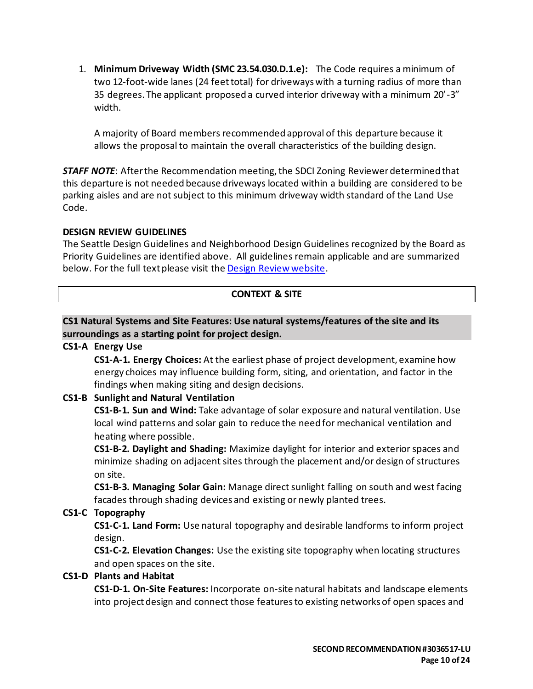1. **Minimum Driveway Width (SMC 23.54.030.D.1.e):** The Code requires a minimum of two 12-foot-wide lanes (24 feet total) for driveways with a turning radius of more than 35 degrees. The applicant proposed a curved interior driveway with a minimum 20'-3" width.

A majority of Board members recommended approval of this departure because it allows the proposal to maintain the overall characteristics of the building design.

*STAFF NOTE*: After the Recommendation meeting, the SDCI Zoning Reviewer determined that this departure is not needed because driveways located within a building are considered to be parking aisles and are not subject to this minimum driveway width standard of the Land Use Code.

### **DESIGN REVIEW GUIDELINES**

The Seattle Design Guidelines and Neighborhood Design Guidelines recognized by the Board as Priority Guidelines are identified above. All guidelines remain applicable and are summarized below. For the full text please visit the [Design Review website.](https://www.seattle.gov/dpd/aboutus/whoweare/designreview/designguidelines/default.htm)

## **CONTEXT & SITE**

### **CS1 Natural Systems and Site Features: Use natural systems/features of the site and its surroundings as a starting point for project design.**

### **CS1-A Energy Use**

**CS1-A-1. Energy Choices:** At the earliest phase of project development, examine how energy choices may influence building form, siting, and orientation, and factor in the findings when making siting and design decisions.

## **CS1-B Sunlight and Natural Ventilation**

**CS1-B-1. Sun and Wind:** Take advantage of solar exposure and natural ventilation. Use local wind patterns and solar gain to reduce the need for mechanical ventilation and heating where possible.

**CS1-B-2. Daylight and Shading:** Maximize daylight for interior and exterior spaces and minimize shading on adjacent sites through the placement and/or design of structures on site.

**CS1-B-3. Managing Solar Gain:** Manage direct sunlight falling on south and west facing facades through shading devices and existing or newly planted trees.

## **CS1-C Topography**

**CS1-C-1. Land Form:** Use natural topography and desirable landforms to inform project design.

**CS1-C-2. Elevation Changes:** Use the existing site topography when locating structures and open spaces on the site.

## **CS1-D Plants and Habitat**

**CS1-D-1. On-Site Features:** Incorporate on-site natural habitats and landscape elements into project design and connect those features to existing networks of open spaces and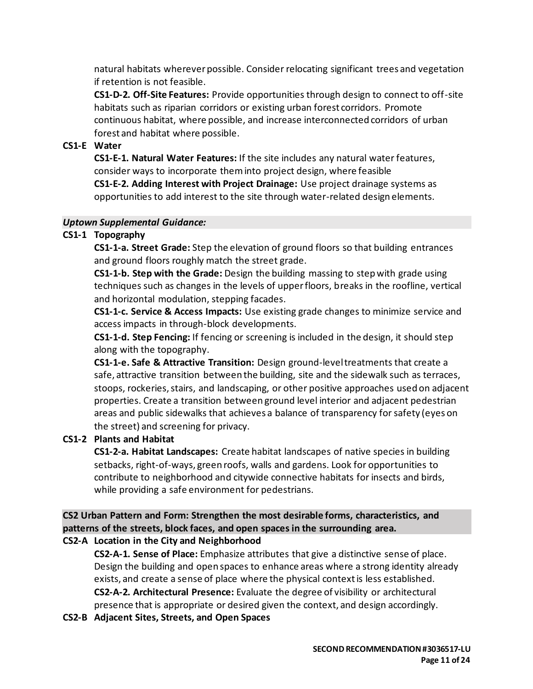natural habitats wherever possible. Consider relocating significant trees and vegetation if retention is not feasible.

**CS1-D-2. Off-Site Features:** Provide opportunities through design to connect to off-site habitats such as riparian corridors or existing urban forest corridors. Promote continuous habitat, where possible, and increase interconnected corridors of urban forest and habitat where possible.

## **CS1-E Water**

**CS1-E-1. Natural Water Features:** If the site includes any natural water features, consider ways to incorporate them into project design, where feasible

**CS1-E-2. Adding Interest with Project Drainage:** Use project drainage systems as opportunities to add interest to the site through water-related design elements.

#### *Uptown Supplemental Guidance:*

## **CS1-1 Topography**

**CS1-1-a. Street Grade:** Step the elevation of ground floors so that building entrances and ground floors roughly match the street grade.

**CS1-1-b. Step with the Grade:** Design the building massing to step with grade using techniques such as changes in the levels of upper floors, breaks in the roofline, vertical and horizontal modulation, stepping facades.

**CS1-1-c. Service & Access Impacts:** Use existing grade changes to minimize service and access impacts in through-block developments.

**CS1-1-d. Step Fencing:** If fencing or screening is included in the design, it should step along with the topography.

**CS1-1-e. Safe & Attractive Transition:** Design ground-level treatments that create a safe, attractive transition between the building, site and the sidewalk such as terraces, stoops, rockeries, stairs, and landscaping, or other positive approaches used on adjacent properties. Create a transition between ground level interior and adjacent pedestrian areas and public sidewalks that achieves a balance of transparency for safety (eyes on the street) and screening for privacy.

# **CS1-2 Plants and Habitat**

**CS1-2-a. Habitat Landscapes:** Create habitat landscapes of native species in building setbacks, right-of-ways, green roofs, walls and gardens. Look for opportunities to contribute to neighborhood and citywide connective habitats for insects and birds, while providing a safe environment for pedestrians.

**CS2 Urban Pattern and Form: Strengthen the most desirable forms, characteristics, and patterns of the streets, block faces, and open spaces in the surrounding area. CS2-A Location in the City and Neighborhood**

**CS2-A-1. Sense of Place:** Emphasize attributes that give a distinctive sense of place. Design the building and open spaces to enhance areas where a strong identity already exists, and create a sense of place where the physical context is less established. **CS2-A-2. Architectural Presence:** Evaluate the degree of visibility or architectural presence that is appropriate or desired given the context, and design accordingly.

**CS2-B Adjacent Sites, Streets, and Open Spaces**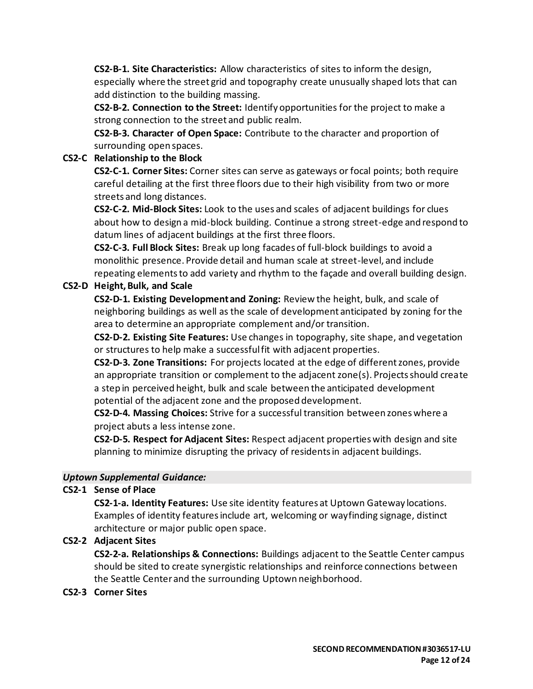**CS2-B-1. Site Characteristics:** Allow characteristics of sites to inform the design, especially where the street grid and topography create unusually shaped lots that can add distinction to the building massing.

**CS2-B-2. Connection to the Street:** Identify opportunities for the project to make a strong connection to the street and public realm.

**CS2-B-3. Character of Open Space:** Contribute to the character and proportion of surrounding open spaces.

### **CS2-C Relationship to the Block**

**CS2-C-1. Corner Sites:** Corner sites can serve as gateways or focal points; both require careful detailing at the first three floors due to their high visibility from two or more streets and long distances.

**CS2-C-2. Mid-Block Sites:** Look to the uses and scales of adjacent buildings for clues about how to design a mid-block building. Continue a strong street-edge and respond to datum lines of adjacent buildings at the first three floors.

**CS2-C-3. Full Block Sites:** Break up long facades of full-block buildings to avoid a monolithic presence. Provide detail and human scale at street-level, and include repeating elements to add variety and rhythm to the façade and overall building design.

## **CS2-D Height, Bulk, and Scale**

**CS2-D-1. Existing Development and Zoning:** Review the height, bulk, and scale of neighboring buildings as well as the scale of development anticipated by zoning for the area to determine an appropriate complement and/or transition.

**CS2-D-2. Existing Site Features:** Use changes in topography, site shape, and vegetation or structures to help make a successful fit with adjacent properties.

**CS2-D-3. Zone Transitions:** For projects located at the edge of different zones, provide an appropriate transition or complement to the adjacent zone(s). Projects should create a step in perceived height, bulk and scale between the anticipated development potential of the adjacent zone and the proposed development.

**CS2-D-4. Massing Choices:** Strive for a successful transition between zones where a project abuts a less intense zone.

**CS2-D-5. Respect for Adjacent Sites:** Respect adjacent properties with design and site planning to minimize disrupting the privacy of residents in adjacent buildings.

## *Uptown Supplemental Guidance:*

## **CS2-1 Sense of Place**

**CS2-1-a. Identity Features:** Use site identity features at Uptown Gateway locations. Examples of identity features include art, welcoming or wayfinding signage, distinct architecture or major public open space.

## **CS2-2 Adjacent Sites**

**CS2-2-a. Relationships & Connections:** Buildings adjacent to the Seattle Center campus should be sited to create synergistic relationships and reinforce connections between the Seattle Center and the surrounding Uptown neighborhood.

#### **CS2-3 Corner Sites**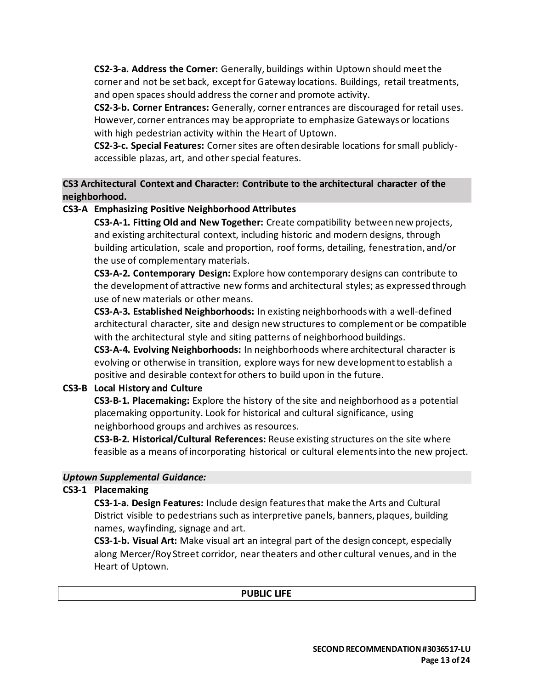**CS2-3-a. Address the Corner:** Generally, buildings within Uptown should meet the corner and not be set back, except for Gateway locations. Buildings, retail treatments, and open spaces should address the corner and promote activity.

**CS2-3-b. Corner Entrances:** Generally, corner entrances are discouraged for retail uses. However, corner entrances may be appropriate to emphasize Gateways or locations with high pedestrian activity within the Heart of Uptown.

**CS2-3-c. Special Features:** Corner sites are often desirable locations for small publiclyaccessible plazas, art, and other special features.

**CS3 Architectural Context and Character: Contribute to the architectural character of the neighborhood.**

## **CS3-A Emphasizing Positive Neighborhood Attributes**

**CS3-A-1. Fitting Old and New Together:** Create compatibility between new projects, and existing architectural context, including historic and modern designs, through building articulation, scale and proportion, roof forms, detailing, fenestration, and/or the use of complementary materials.

**CS3-A-2. Contemporary Design:** Explore how contemporary designs can contribute to the development of attractive new forms and architectural styles; as expressed through use of new materials or other means.

**CS3-A-3. Established Neighborhoods:** In existing neighborhoods with a well-defined architectural character, site and design new structures to complement or be compatible with the architectural style and siting patterns of neighborhood buildings.

**CS3-A-4. Evolving Neighborhoods:** In neighborhoods where architectural character is evolving or otherwise in transition, explore ways for new development to establish a positive and desirable context for others to build upon in the future.

# **CS3-B Local History and Culture**

**CS3-B-1. Placemaking:** Explore the history of the site and neighborhood as a potential placemaking opportunity. Look for historical and cultural significance, using neighborhood groups and archives as resources.

**CS3-B-2. Historical/Cultural References:** Reuse existing structures on the site where feasible as a means of incorporating historical or cultural elements into the new project.

## *Uptown Supplemental Guidance:*

## **CS3-1 Placemaking**

**CS3-1-a. Design Features:** Include design features that make the Arts and Cultural District visible to pedestrians such as interpretive panels, banners, plaques, building names, wayfinding, signage and art.

**CS3-1-b. Visual Art:** Make visual art an integral part of the design concept, especially along Mercer/Roy Street corridor, near theaters and other cultural venues, and in the Heart of Uptown.

## **PUBLIC LIFE**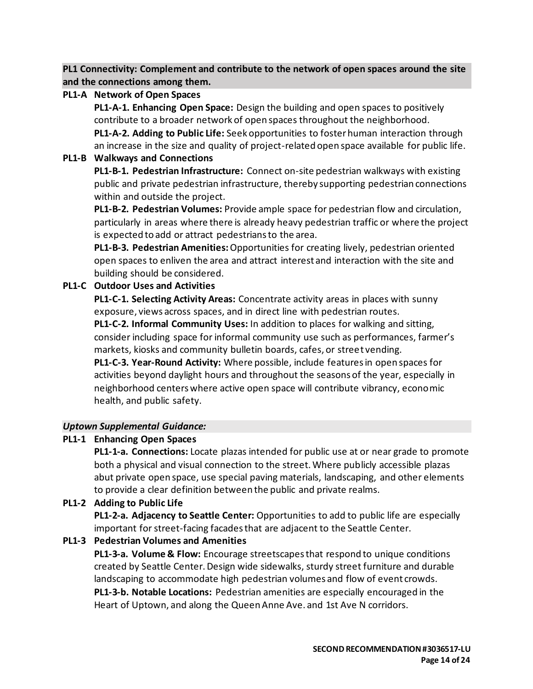**PL1 Connectivity: Complement and contribute to the network of open spaces around the site and the connections among them.**

### **PL1-A Network of Open Spaces**

**PL1-A-1. Enhancing Open Space:** Design the building and open spaces to positively contribute to a broader network of open spaces throughout the neighborhood. **PL1-A-2. Adding to Public Life:** Seek opportunities to foster human interaction through an increase in the size and quality of project-related open space available for public life.

### **PL1-B Walkways and Connections**

**PL1-B-1. Pedestrian Infrastructure:** Connect on-site pedestrian walkways with existing public and private pedestrian infrastructure, thereby supporting pedestrian connections within and outside the project.

**PL1-B-2. Pedestrian Volumes:** Provide ample space for pedestrian flow and circulation, particularly in areas where there is already heavy pedestrian traffic or where the project is expected to add or attract pedestrians to the area.

**PL1-B-3. Pedestrian Amenities:**Opportunities for creating lively, pedestrian oriented open spaces to enliven the area and attract interest and interaction with the site and building should be considered.

## **PL1-C Outdoor Uses and Activities**

**PL1-C-1. Selecting Activity Areas:** Concentrate activity areas in places with sunny exposure, views across spaces, and in direct line with pedestrian routes. **PL1-C-2. Informal Community Uses:** In addition to places for walking and sitting, consider including space for informal community use such as performances, farmer's markets, kiosks and community bulletin boards, cafes, or street vending.

**PL1-C-3. Year-Round Activity:** Where possible, include features in open spaces for activities beyond daylight hours and throughout the seasons of the year, especially in neighborhood centers where active open space will contribute vibrancy, economic health, and public safety.

## *Uptown Supplemental Guidance:*

## **PL1-1 Enhancing Open Spaces**

**PL1-1-a. Connections:** Locate plazas intended for public use at or near grade to promote both a physical and visual connection to the street. Where publicly accessible plazas abut private open space, use special paving materials, landscaping, and other elements to provide a clear definition between the public and private realms.

## **PL1-2 Adding to Public Life**

**PL1-2-a. Adjacency to Seattle Center:** Opportunities to add to public life are especially important for street-facing facades that are adjacent to the Seattle Center.

## **PL1-3 Pedestrian Volumes and Amenities**

**PL1-3-a. Volume & Flow:** Encourage streetscapes that respond to unique conditions created by Seattle Center. Design wide sidewalks, sturdy street furniture and durable landscaping to accommodate high pedestrian volumes and flow of event crowds. **PL1-3-b. Notable Locations:** Pedestrian amenities are especially encouraged in the Heart of Uptown, and along the Queen Anne Ave. and 1st Ave N corridors.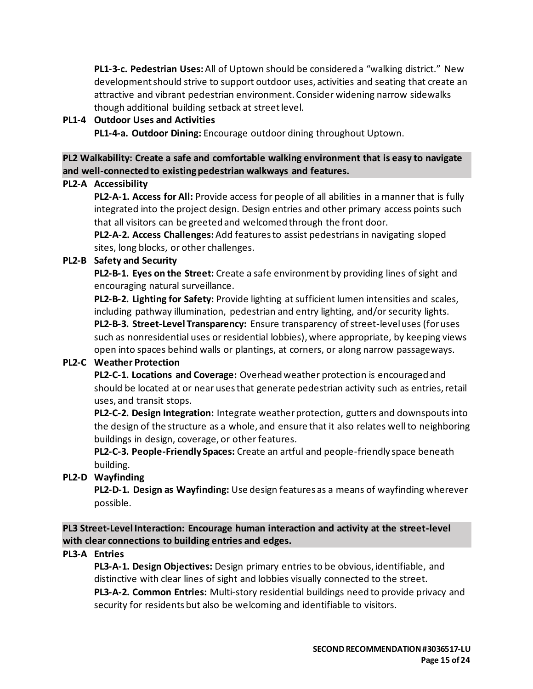**PL1-3-c. Pedestrian Uses:**All of Uptown should be considered a "walking district." New development should strive to support outdoor uses, activities and seating that create an attractive and vibrant pedestrian environment. Consider widening narrow sidewalks though additional building setback at street level.

### **PL1-4 Outdoor Uses and Activities**

**PL1-4-a. Outdoor Dining:** Encourage outdoor dining throughout Uptown.

**PL2 Walkability: Create a safe and comfortable walking environment that is easy to navigate and well-connected to existing pedestrian walkways and features.**

### **PL2-A Accessibility**

**PL2-A-1. Access for All:** Provide access for people of all abilities in a manner that is fully integrated into the project design. Design entries and other primary access points such that all visitors can be greeted and welcomed through the front door.

**PL2-A-2. Access Challenges:**Add features to assist pedestrians in navigating sloped sites, long blocks, or other challenges.

### **PL2-B Safety and Security**

**PL2-B-1. Eyes on the Street:** Create a safe environment by providing lines of sight and encouraging natural surveillance.

**PL2-B-2. Lighting for Safety:** Provide lighting at sufficient lumen intensities and scales, including pathway illumination, pedestrian and entry lighting, and/or security lights. **PL2-B-3. Street-Level Transparency:** Ensure transparency of street-level uses (for uses such as nonresidential uses or residential lobbies), where appropriate, by keeping views open into spaces behind walls or plantings, at corners, or along narrow passageways.

#### **PL2-C Weather Protection**

**PL2-C-1. Locations and Coverage:** Overhead weather protection is encouraged and should be located at or near uses that generate pedestrian activity such as entries, retail uses, and transit stops.

**PL2-C-2. Design Integration:** Integrate weather protection, gutters and downspouts into the design of the structure as a whole, and ensure that it also relates well to neighboring buildings in design, coverage, or other features.

**PL2-C-3. People-Friendly Spaces:** Create an artful and people-friendly space beneath building.

## **PL2-D Wayfinding**

**PL2-D-1. Design as Wayfinding:** Use design features as a means of wayfinding wherever possible.

**PL3 Street-Level Interaction: Encourage human interaction and activity at the street-level with clear connections to building entries and edges.**

#### **PL3-A Entries**

**PL3-A-1. Design Objectives:** Design primary entries to be obvious, identifiable, and distinctive with clear lines of sight and lobbies visually connected to the street. **PL3-A-2. Common Entries:** Multi-story residential buildings need to provide privacy and security for residents but also be welcoming and identifiable to visitors.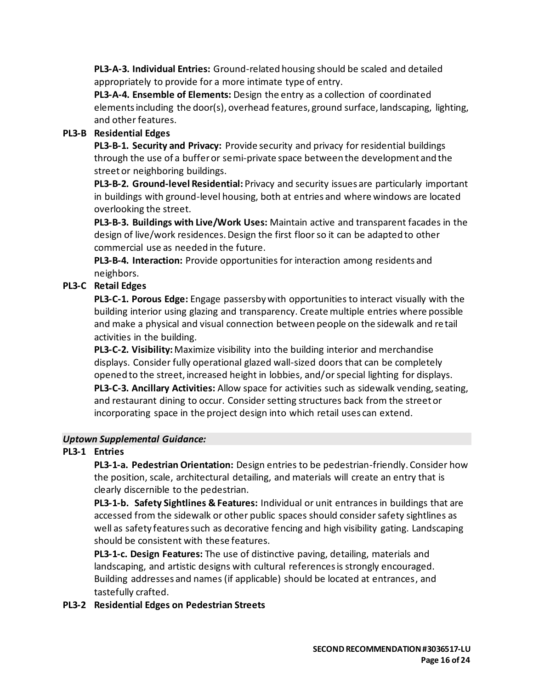**PL3-A-3. Individual Entries:** Ground-related housing should be scaled and detailed appropriately to provide for a more intimate type of entry.

**PL3-A-4. Ensemble of Elements:** Design the entry as a collection of coordinated elements including the door(s), overhead features, ground surface, landscaping, lighting, and other features.

# **PL3-B Residential Edges**

**PL3-B-1. Security and Privacy:** Provide security and privacy for residential buildings through the use of a buffer or semi-private space between the development and the street or neighboring buildings.

**PL3-B-2. Ground-level Residential:** Privacy and security issues are particularly important in buildings with ground-level housing, both at entries and where windows are located overlooking the street.

**PL3-B-3. Buildings with Live/Work Uses:** Maintain active and transparent facades in the design of live/work residences. Design the first floor so it can be adapted to other commercial use as needed in the future.

**PL3-B-4. Interaction:** Provide opportunities for interaction among residents and neighbors.

# **PL3-C Retail Edges**

**PL3-C-1. Porous Edge:** Engage passersby with opportunities to interact visually with the building interior using glazing and transparency. Create multiple entries where possible and make a physical and visual connection between people on the sidewalk and retail activities in the building.

**PL3-C-2. Visibility:**Maximize visibility into the building interior and merchandise displays. Consider fully operational glazed wall-sized doors that can be completely opened to the street, increased height in lobbies, and/or special lighting for displays. **PL3-C-3. Ancillary Activities:** Allow space for activities such as sidewalk vending, seating, and restaurant dining to occur. Consider setting structures back from the street or incorporating space in the project design into which retail uses can extend.

# *Uptown Supplemental Guidance:*

# **PL3-1 Entries**

**PL3-1-a. Pedestrian Orientation:** Design entries to be pedestrian-friendly. Consider how the position, scale, architectural detailing, and materials will create an entry that is clearly discernible to the pedestrian.

**PL3-1-b. Safety Sightlines & Features:** Individual or unit entrances in buildings that are accessed from the sidewalk or other public spaces should consider safety sightlines as well as safety features such as decorative fencing and high visibility gating. Landscaping should be consistent with these features.

**PL3-1-c. Design Features:** The use of distinctive paving, detailing, materials and landscaping, and artistic designs with cultural references is strongly encouraged. Building addresses and names (if applicable) should be located at entrances, and tastefully crafted.

## **PL3-2 Residential Edges on Pedestrian Streets**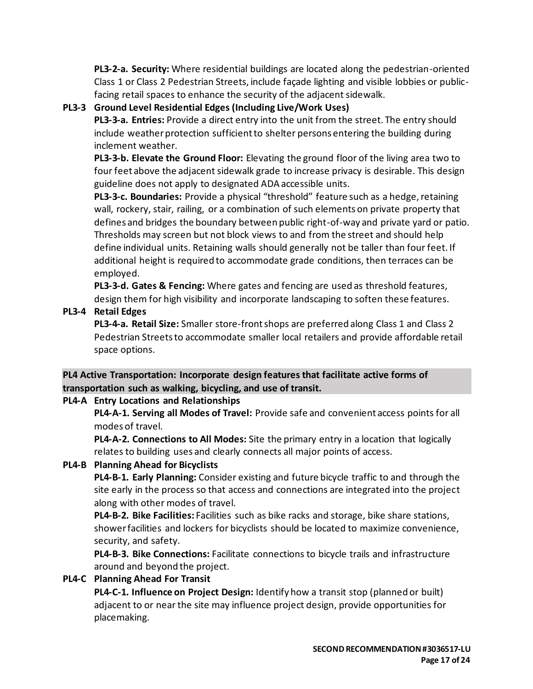**PL3-2-a. Security:** Where residential buildings are located along the pedestrian-oriented Class 1 or Class 2 Pedestrian Streets, include façade lighting and visible lobbies or publicfacing retail spaces to enhance the security of the adjacent sidewalk.

# **PL3-3 Ground Level Residential Edges (Including Live/Work Uses)**

**PL3-3-a. Entries:** Provide a direct entry into the unit from the street. The entry should include weather protection sufficient to shelter persons entering the building during inclement weather.

**PL3-3-b. Elevate the Ground Floor:** Elevating the ground floor of the living area two to four feet above the adjacent sidewalk grade to increase privacy is desirable. This design guideline does not apply to designated ADA accessible units.

**PL3-3-c. Boundaries:** Provide a physical "threshold" feature such as a hedge, retaining wall, rockery, stair, railing, or a combination of such elements on private property that defines and bridges the boundary between public right-of-way and private yard or patio. Thresholds may screen but not block views to and from the street and should help define individual units. Retaining walls should generally not be taller than four feet. If additional height is required to accommodate grade conditions, then terraces can be employed.

**PL3-3-d. Gates & Fencing:** Where gates and fencing are used as threshold features, design them for high visibility and incorporate landscaping to soften these features.

# **PL3-4 Retail Edges**

**PL3-4-a. Retail Size:** Smaller store-front shops are preferred along Class 1 and Class 2 Pedestrian Streets to accommodate smaller local retailers and provide affordable retail space options.

# **PL4 Active Transportation: Incorporate design features that facilitate active forms of transportation such as walking, bicycling, and use of transit.**

# **PL4-A Entry Locations and Relationships**

**PL4-A-1. Serving all Modes of Travel:** Provide safe and convenient access points for all modes of travel.

**PL4-A-2. Connections to All Modes:** Site the primary entry in a location that logically relates to building uses and clearly connects all major points of access.

# **PL4-B Planning Ahead for Bicyclists**

**PL4-B-1. Early Planning:** Consider existing and future bicycle traffic to and through the site early in the process so that access and connections are integrated into the project along with other modes of travel.

**PL4-B-2. Bike Facilities:** Facilities such as bike racks and storage, bike share stations, shower facilities and lockers for bicyclists should be located to maximize convenience, security, and safety.

**PL4-B-3. Bike Connections:** Facilitate connections to bicycle trails and infrastructure around and beyond the project.

# **PL4-C Planning Ahead For Transit**

**PL4-C-1. Influence on Project Design:** Identify how a transit stop (planned or built) adjacent to or near the site may influence project design, provide opportunities for placemaking.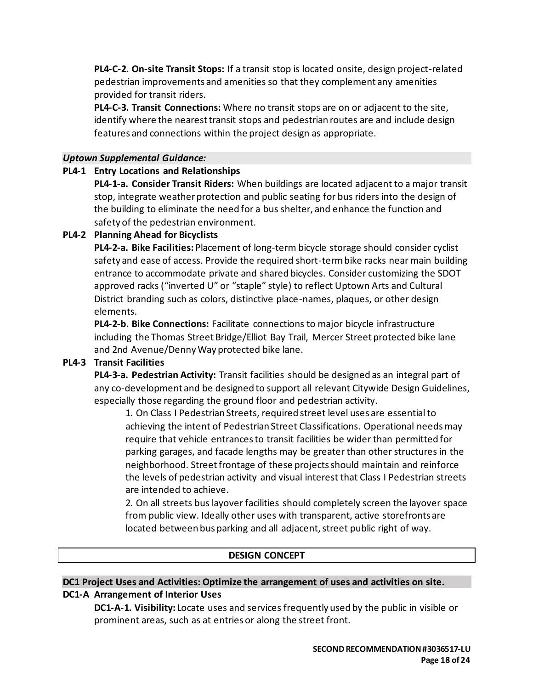**PL4-C-2. On-site Transit Stops:** If a transit stop is located onsite, design project-related pedestrian improvements and amenities so that they complement any amenities provided for transit riders.

**PL4-C-3. Transit Connections:** Where no transit stops are on or adjacent to the site, identify where the nearest transit stops and pedestrian routes are and include design features and connections within the project design as appropriate.

#### *Uptown Supplemental Guidance:*

### **PL4-1 Entry Locations and Relationships**

**PL4-1-a. Consider Transit Riders:** When buildings are located adjacent to a major transit stop, integrate weather protection and public seating for bus riders into the design of the building to eliminate the need for a bus shelter, and enhance the function and safety of the pedestrian environment.

## **PL4-2 Planning Ahead for Bicyclists**

**PL4-2-a. Bike Facilities:** Placement of long-term bicycle storage should consider cyclist safety and ease of access. Provide the required short-term bike racks near main building entrance to accommodate private and shared bicycles. Consider customizing the SDOT approved racks ("inverted U" or "staple" style) to reflect Uptown Arts and Cultural District branding such as colors, distinctive place-names, plaques, or other design elements.

**PL4-2-b. Bike Connections:** Facilitate connections to major bicycle infrastructure including the Thomas Street Bridge/Elliot Bay Trail, Mercer Street protected bike lane and 2nd Avenue/Denny Way protected bike lane.

#### **PL4-3 Transit Facilities**

**PL4-3-a. Pedestrian Activity:** Transit facilities should be designed as an integral part of any co-development and be designed to support all relevant Citywide Design Guidelines, especially those regarding the ground floor and pedestrian activity.

1. On Class I Pedestrian Streets, required street level uses are essential to achieving the intent of Pedestrian Street Classifications. Operational needs may require that vehicle entrances to transit facilities be wider than permitted for parking garages, and facade lengths may be greater than other structures in the neighborhood. Street frontage of these projects should maintain and reinforce the levels of pedestrian activity and visual interest that Class I Pedestrian streets are intended to achieve.

2. On all streets bus layover facilities should completely screen the layover space from public view. Ideally other uses with transparent, active storefronts are located between bus parking and all adjacent, street public right of way.

#### **DESIGN CONCEPT**

## **DC1 Project Uses and Activities: Optimize the arrangement of uses and activities on site. DC1-A Arrangement of Interior Uses**

**DC1-A-1. Visibility:** Locate uses and services frequently used by the public in visible or prominent areas, such as at entries or along the street front.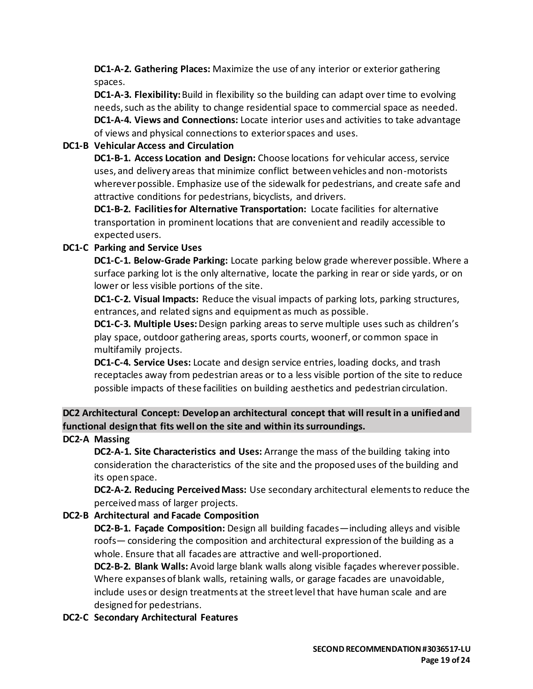**DC1-A-2. Gathering Places:** Maximize the use of any interior or exterior gathering spaces.

**DC1-A-3. Flexibility:**Build in flexibility so the building can adapt over time to evolving needs, such as the ability to change residential space to commercial space as needed. **DC1-A-4. Views and Connections:** Locate interior uses and activities to take advantage of views and physical connections to exterior spaces and uses.

# **DC1-B Vehicular Access and Circulation**

**DC1-B-1. Access Location and Design:** Choose locations for vehicular access, service uses, and delivery areas that minimize conflict between vehicles and non-motorists wherever possible. Emphasize use of the sidewalk for pedestrians, and create safe and attractive conditions for pedestrians, bicyclists, and drivers.

**DC1-B-2. Facilities for Alternative Transportation:** Locate facilities for alternative transportation in prominent locations that are convenient and readily accessible to expected users.

# **DC1-C Parking and Service Uses**

**DC1-C-1. Below-Grade Parking:** Locate parking below grade wherever possible. Where a surface parking lot is the only alternative, locate the parking in rear or side yards, or on lower or less visible portions of the site.

**DC1-C-2. Visual Impacts:** Reduce the visual impacts of parking lots, parking structures, entrances, and related signs and equipment as much as possible.

**DC1-C-3. Multiple Uses:** Design parking areas to serve multiple uses such as children's play space, outdoor gathering areas, sports courts, woonerf, or common space in multifamily projects.

**DC1-C-4. Service Uses:** Locate and design service entries, loading docks, and trash receptacles away from pedestrian areas or to a less visible portion of the site to reduce possible impacts of these facilities on building aesthetics and pedestrian circulation.

**DC2 Architectural Concept: Develop an architectural concept that will result in a unified and functional design that fits well on the site and within its surroundings.**

## **DC2-A Massing**

**DC2-A-1. Site Characteristics and Uses:** Arrange the mass of the building taking into consideration the characteristics of the site and the proposed uses of the building and its open space.

**DC2-A-2. Reducing Perceived Mass:** Use secondary architectural elements to reduce the perceived mass of larger projects.

## **DC2-B Architectural and Facade Composition**

**DC2-B-1. Façade Composition:** Design all building facades—including alleys and visible roofs— considering the composition and architectural expression of the building as a whole. Ensure that all facades are attractive and well-proportioned.

**DC2-B-2. Blank Walls:** Avoid large blank walls along visible façades wherever possible. Where expanses of blank walls, retaining walls, or garage facades are unavoidable, include uses or design treatments at the street level that have human scale and are designed for pedestrians.

## **DC2-C Secondary Architectural Features**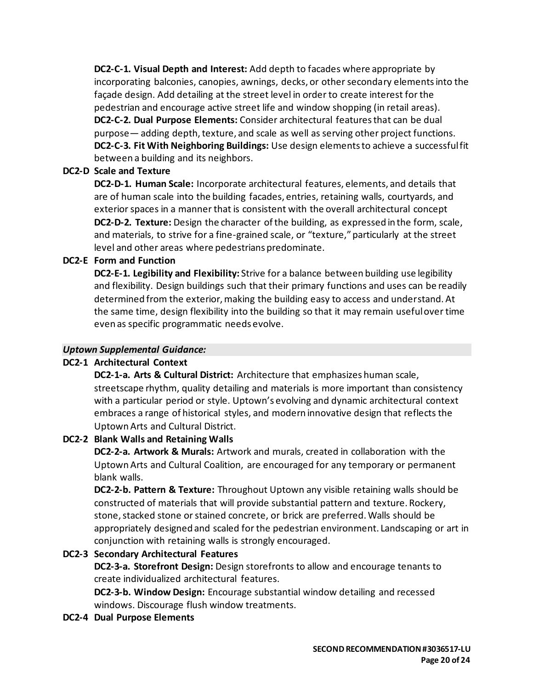**DC2-C-1. Visual Depth and Interest:** Add depth to facades where appropriate by incorporating balconies, canopies, awnings, decks, or other secondary elements into the façade design. Add detailing at the street level in order to create interest for the pedestrian and encourage active street life and window shopping (in retail areas). **DC2-C-2. Dual Purpose Elements:** Consider architectural features that can be dual purpose— adding depth, texture, and scale as well as serving other project functions. **DC2-C-3. Fit With Neighboring Buildings:** Use design elements to achieve a successful fit between a building and its neighbors.

### **DC2-D Scale and Texture**

**DC2-D-1. Human Scale:** Incorporate architectural features, elements, and details that are of human scale into the building facades, entries, retaining walls, courtyards, and exterior spaces in a manner that is consistent with the overall architectural concept **DC2-D-2. Texture:** Design the character of the building, as expressed in the form, scale, and materials, to strive for a fine-grained scale, or "texture," particularly at the street level and other areas where pedestrians predominate.

### **DC2-E Form and Function**

**DC2-E-1. Legibility and Flexibility:** Strive for a balance between building use legibility and flexibility. Design buildings such that their primary functions and uses can be readily determined from the exterior, making the building easy to access and understand. At the same time, design flexibility into the building so that it may remain useful over time even as specific programmatic needs evolve.

#### *Uptown Supplemental Guidance:*

#### **DC2-1 Architectural Context**

**DC2-1-a. Arts & Cultural District:** Architecture that emphasizes human scale, streetscape rhythm, quality detailing and materials is more important than consistency with a particular period or style. Uptown's evolving and dynamic architectural context embraces a range of historical styles, and modern innovative design that reflects the Uptown Arts and Cultural District.

## **DC2-2 Blank Walls and Retaining Walls**

**DC2-2-a. Artwork & Murals:** Artwork and murals, created in collaboration with the Uptown Arts and Cultural Coalition, are encouraged for any temporary or permanent blank walls.

**DC2-2-b. Pattern & Texture:** Throughout Uptown any visible retaining walls should be constructed of materials that will provide substantial pattern and texture. Rockery, stone, stacked stone or stained concrete, or brick are preferred. Walls should be appropriately designed and scaled for the pedestrian environment. Landscaping or art in conjunction with retaining walls is strongly encouraged.

## **DC2-3 Secondary Architectural Features**

**DC2-3-a. Storefront Design:** Design storefronts to allow and encourage tenants to create individualized architectural features.

**DC2-3-b. Window Design:** Encourage substantial window detailing and recessed windows. Discourage flush window treatments.

#### **DC2-4 Dual Purpose Elements**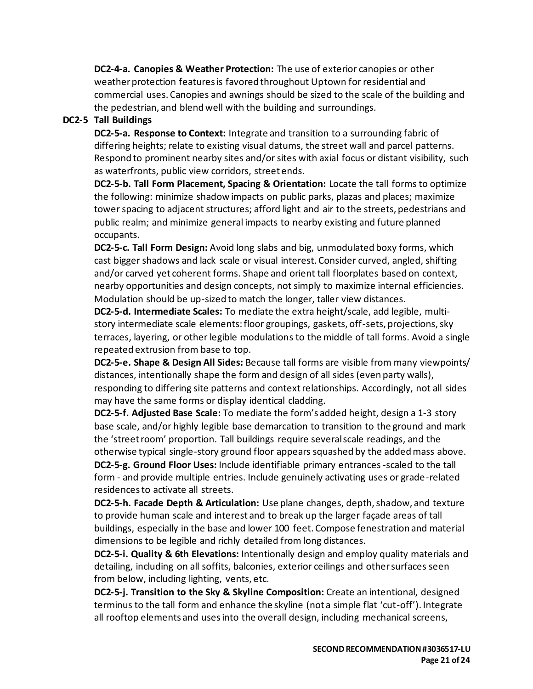**DC2-4-a. Canopies & Weather Protection:** The use of exterior canopies or other weather protection features is favored throughout Uptown for residential and commercial uses. Canopies and awnings should be sized to the scale of the building and the pedestrian, and blend well with the building and surroundings.

## **DC2-5 Tall Buildings**

**DC2-5-a. Response to Context:** Integrate and transition to a surrounding fabric of differing heights; relate to existing visual datums, the street wall and parcel patterns. Respond to prominent nearby sites and/or sites with axial focus or distant visibility, such as waterfronts, public view corridors, street ends.

**DC2-5-b. Tall Form Placement, Spacing & Orientation:** Locate the tall forms to optimize the following: minimize shadow impacts on public parks, plazas and places; maximize tower spacing to adjacent structures; afford light and air to the streets, pedestrians and public realm; and minimize general impacts to nearby existing and future planned occupants.

**DC2-5-c. Tall Form Design:** Avoid long slabs and big, unmodulated boxy forms, which cast bigger shadows and lack scale or visual interest. Consider curved, angled, shifting and/or carved yet coherent forms. Shape and orient tall floorplates based on context, nearby opportunities and design concepts, not simply to maximize internal efficiencies. Modulation should be up-sized to match the longer, taller view distances.

**DC2-5-d. Intermediate Scales:** To mediate the extra height/scale, add legible, multistory intermediate scale elements: floor groupings, gaskets, off-sets, projections, sky terraces, layering, or other legible modulations to the middle of tall forms. Avoid a single repeated extrusion from base to top.

**DC2-5-e. Shape & Design All Sides:** Because tall forms are visible from many viewpoints/ distances, intentionally shape the form and design of all sides (even party walls), responding to differing site patterns and context relationships. Accordingly, not all sides may have the same forms or display identical cladding.

**DC2-5-f. Adjusted Base Scale:** To mediate the form's added height, design a 1-3 story base scale, and/or highly legible base demarcation to transition to the ground and mark the 'street room' proportion. Tall buildings require several scale readings, and the otherwise typical single-story ground floor appears squashed by the added mass above.

**DC2-5-g. Ground Floor Uses:** Include identifiable primary entrances -scaled to the tall form - and provide multiple entries. Include genuinely activating uses or grade-related residences to activate all streets.

**DC2-5-h. Facade Depth & Articulation:** Use plane changes, depth, shadow, and texture to provide human scale and interest and to break up the larger façade areas of tall buildings, especially in the base and lower 100 feet. Compose fenestration and material dimensions to be legible and richly detailed from long distances.

**DC2-5-i. Quality & 6th Elevations:** Intentionally design and employ quality materials and detailing, including on all soffits, balconies, exterior ceilings and other surfaces seen from below, including lighting, vents, etc.

**DC2-5-j. Transition to the Sky & Skyline Composition:** Create an intentional, designed terminus to the tall form and enhance the skyline (not a simple flat 'cut-off'). Integrate all rooftop elements and uses into the overall design, including mechanical screens,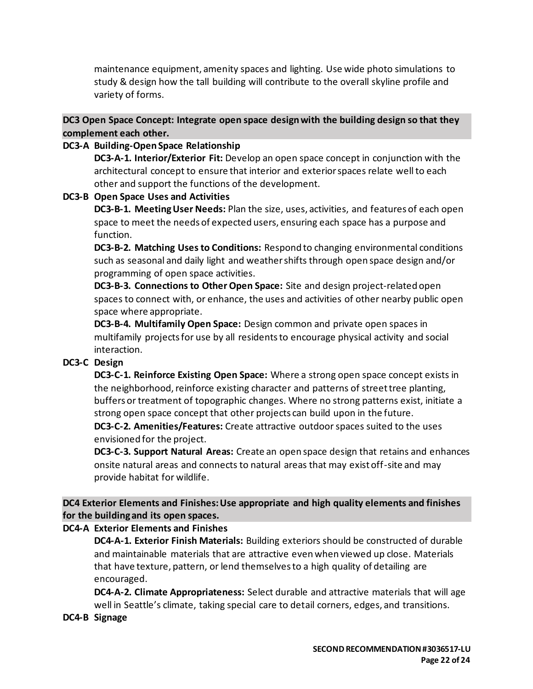maintenance equipment, amenity spaces and lighting. Use wide photo simulations to study & design how the tall building will contribute to the overall skyline profile and variety of forms.

**DC3 Open Space Concept: Integrate open space design with the building design so that they complement each other.**

### **DC3-A Building-Open Space Relationship**

**DC3-A-1. Interior/Exterior Fit:** Develop an open space concept in conjunction with the architectural concept to ensure that interior and exterior spaces relate well to each other and support the functions of the development.

#### **DC3-B Open Space Uses and Activities**

**DC3-B-1. Meeting User Needs:** Plan the size, uses, activities, and features of each open space to meet the needs of expected users, ensuring each space has a purpose and function.

**DC3-B-2. Matching Uses to Conditions:** Respond to changing environmental conditions such as seasonal and daily light and weather shifts through open space design and/or programming of open space activities.

**DC3-B-3. Connections to Other Open Space:** Site and design project-related open spaces to connect with, or enhance, the uses and activities of other nearby public open space where appropriate.

**DC3-B-4. Multifamily Open Space:** Design common and private open spaces in multifamily projects for use by all residents to encourage physical activity and social interaction.

## **DC3-C Design**

**DC3-C-1. Reinforce Existing Open Space:** Where a strong open space concept exists in the neighborhood, reinforce existing character and patterns of street tree planting, buffers or treatment of topographic changes. Where no strong patterns exist, initiate a strong open space concept that other projects can build upon in the future.

**DC3-C-2. Amenities/Features:** Create attractive outdoor spaces suited to the uses envisioned for the project.

**DC3-C-3. Support Natural Areas:** Create an open space design that retains and enhances onsite natural areas and connects to natural areas that may exist off-site and may provide habitat for wildlife.

**DC4 Exterior Elements and Finishes: Use appropriate and high quality elements and finishes for the building and its open spaces.**

## **DC4-A Exterior Elements and Finishes**

**DC4-A-1. Exterior Finish Materials:** Building exteriors should be constructed of durable and maintainable materials that are attractive even when viewed up close. Materials that have texture, pattern, or lend themselves to a high quality of detailing are encouraged.

**DC4-A-2. Climate Appropriateness:** Select durable and attractive materials that will age well in Seattle's climate, taking special care to detail corners, edges, and transitions.

#### **DC4-B Signage**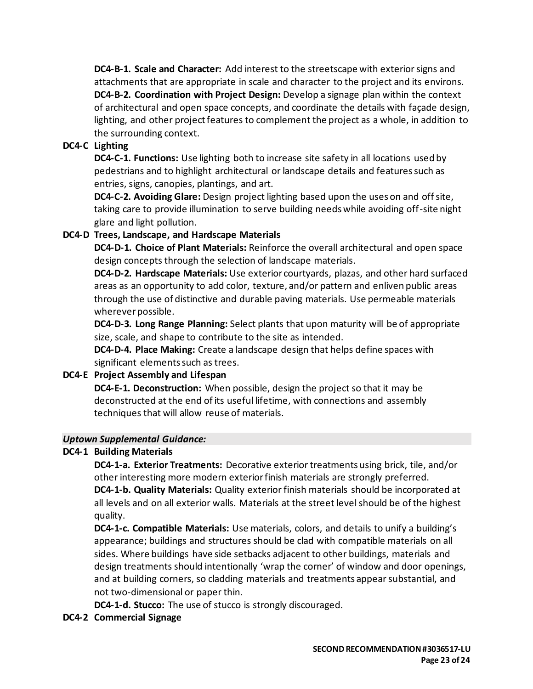**DC4-B-1. Scale and Character:** Add interest to the streetscape with exterior signs and attachments that are appropriate in scale and character to the project and its environs. **DC4-B-2. Coordination with Project Design:** Develop a signage plan within the context of architectural and open space concepts, and coordinate the details with façade design, lighting, and other project features to complement the project as a whole, in addition to the surrounding context.

## **DC4-C Lighting**

**DC4-C-1. Functions:** Use lighting both to increase site safety in all locations used by pedestrians and to highlight architectural or landscape details and features such as entries, signs, canopies, plantings, and art.

**DC4-C-2. Avoiding Glare:** Design project lighting based upon the uses on and off site, taking care to provide illumination to serve building needs while avoiding off-site night glare and light pollution.

## **DC4-D Trees, Landscape, and Hardscape Materials**

**DC4-D-1. Choice of Plant Materials:** Reinforce the overall architectural and open space design concepts through the selection of landscape materials.

**DC4-D-2. Hardscape Materials:** Use exterior courtyards, plazas, and other hard surfaced areas as an opportunity to add color, texture, and/or pattern and enliven public areas through the use of distinctive and durable paving materials. Use permeable materials wherever possible.

**DC4-D-3. Long Range Planning:** Select plants that upon maturity will be of appropriate size, scale, and shape to contribute to the site as intended.

**DC4-D-4. Place Making:** Create a landscape design that helps define spaces with significant elements such as trees.

## **DC4-E Project Assembly and Lifespan**

**DC4-E-1. Deconstruction:** When possible, design the project so that it may be deconstructed at the end of its useful lifetime, with connections and assembly techniques that will allow reuse of materials.

## *Uptown Supplemental Guidance:*

## **DC4-1 Building Materials**

**DC4-1-a. Exterior Treatments:** Decorative exterior treatments using brick, tile, and/or other interesting more modern exterior finish materials are strongly preferred. **DC4-1-b. Quality Materials:** Quality exterior finish materials should be incorporated at all levels and on all exterior walls. Materials at the street level should be of the highest quality.

**DC4-1-c. Compatible Materials:** Use materials, colors, and details to unify a building's appearance; buildings and structures should be clad with compatible materials on all sides. Where buildings have side setbacks adjacent to other buildings, materials and design treatments should intentionally 'wrap the corner' of window and door openings, and at building corners, so cladding materials and treatments appear substantial, and not two-dimensional or paper thin.

**DC4-1-d. Stucco:** The use of stucco is strongly discouraged.

## **DC4-2 Commercial Signage**